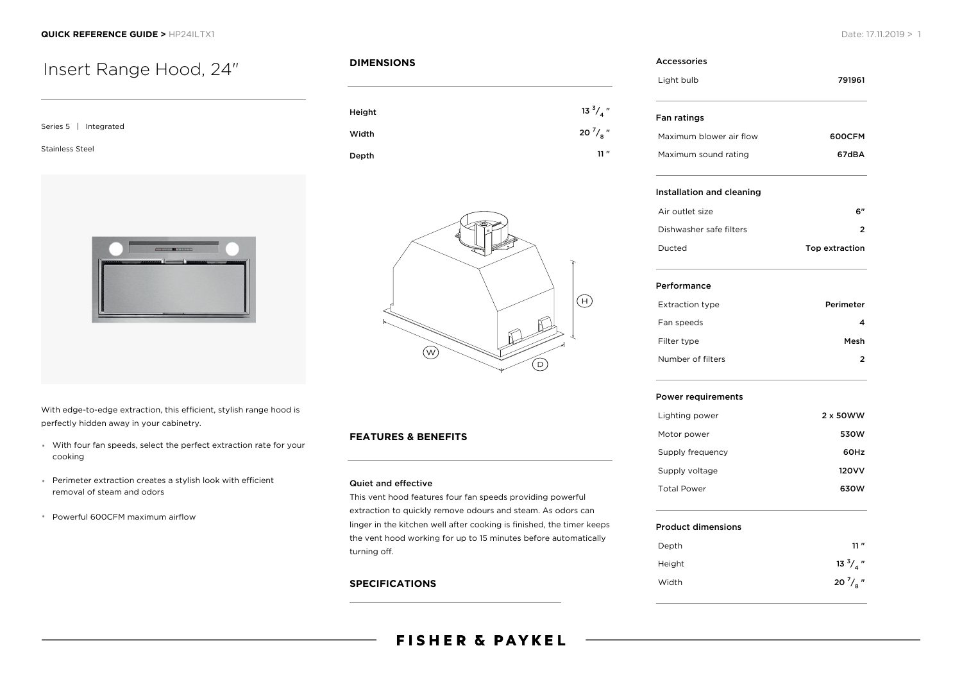# Insert Range Hood, 24"

| Series 5   Integrated  |
|------------------------|
| <b>Stainless Steel</b> |
|                        |
| $-1 - 1 - 1 - 1 - 1$   |

**DIMENSIONS**

| Height | $13 \frac{3}{4}$ " |
|--------|--------------------|
| Width  | 20 $\frac{7}{8}$ " |
| Depth  | 11"                |



With edge-to-edge extraction, this efficient, stylish range hood is perfectly hidden away in your cabinetry.

- With four fan speeds, select the perfect extraction rate for your cooking
- Perimeter extraction creates a stylish look with efficient removal of steam and odors
- Powerful 600CFM maximum airflow

# **FEATURES & BENEFITS**

### Quiet and effective

This vent hood features four fan speeds providing powerful extraction to quickly remove odours and steam. As odors can linger in the kitchen well after cooking is finished, the timer keeps the vent hood working for up to 15 minutes before automatically turning off.

# **SPECIFICATIONS**

#### Accessories

| Light bulb              | 791961 |
|-------------------------|--------|
| Fan ratings             |        |
| Maximum blower air flow | 600CFM |
| Maximum sound rating    | 67dBA  |

### Installation and cleaning

| Air outlet size         | 6"             |
|-------------------------|----------------|
| Dishwasher safe filters |                |
| Ducted                  | Top extraction |

#### Performance

| <b>Extraction type</b> | Perimeter |
|------------------------|-----------|
| Fan speeds             |           |
| Filter type            | Mesh      |
| Number of filters      | 2         |

#### Power requirements

| Lighting power     | 2 x 50WW     |
|--------------------|--------------|
| Motor power        | 530W         |
| Supply frequency   | 60Hz         |
| Supply voltage     | <b>120VV</b> |
| <b>Total Power</b> | 630W         |

#### Product dimensions

| Depth  | 11''               |
|--------|--------------------|
| Height | $13 \frac{3}{4}$ " |
| Width  | 20 $\frac{7}{8}$ " |